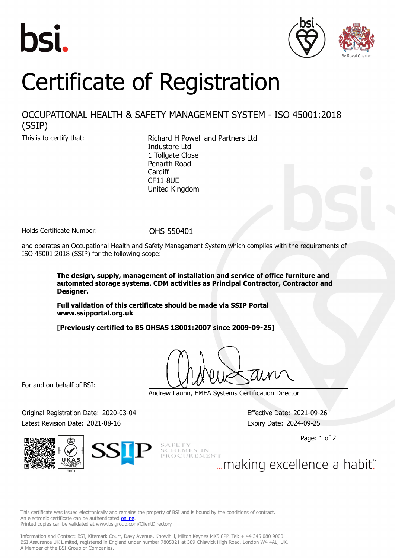





## Certificate of Registration

## OCCUPATIONAL HEALTH & SAFETY MANAGEMENT SYSTEM - ISO 45001:2018 (SSIP)

This is to certify that: Richard H Powell and Partners Ltd Industore Ltd 1 Tollgate Close Penarth Road **Cardiff** CF11 8UE United Kingdom

Holds Certificate Number: 0HS 550401

and operates an Occupational Health and Safety Management System which complies with the requirements of ISO 45001:2018 (SSIP) for the following scope:

> **The design, supply, management of installation and service of office furniture and automated storage systems. CDM activities as Principal Contractor, Contractor and Designer.**

**Full validation of this certificate should be made via SSIP Portal www.ssipportal.org.uk**

**[Previously certified to BS OHSAS 18001:2007 since 2009-09-25]**

For and on behalf of BSI:

Andrew Launn, EMEA Systems Certification Director

Original Registration Date: 2020-03-04 Effective Date: 2021-09-26 Latest Revision Date: 2021-08-16 **Expiry Date: 2024-09-25** Expiry Date: 2024-09-25

Page: 1 of 2



SAFETT<br>SCHEMES IN<br>PROCUREMENT ... making excellence a habit."

This certificate was issued electronically and remains the property of BSI and is bound by the conditions of contract. An electronic certificate can be authenticated **[online](https://pgplus.bsigroup.com/CertificateValidation/CertificateValidator.aspx?CertificateNumber=OHS+550401&ReIssueDate=16%2f08%2f2021&Template=uk)**. Printed copies can be validated at www.bsigroup.com/ClientDirectory

Information and Contact: BSI, Kitemark Court, Davy Avenue, Knowlhill, Milton Keynes MK5 8PP. Tel: + 44 345 080 9000 BSI Assurance UK Limited, registered in England under number 7805321 at 389 Chiswick High Road, London W4 4AL, UK. A Member of the BSI Group of Companies.